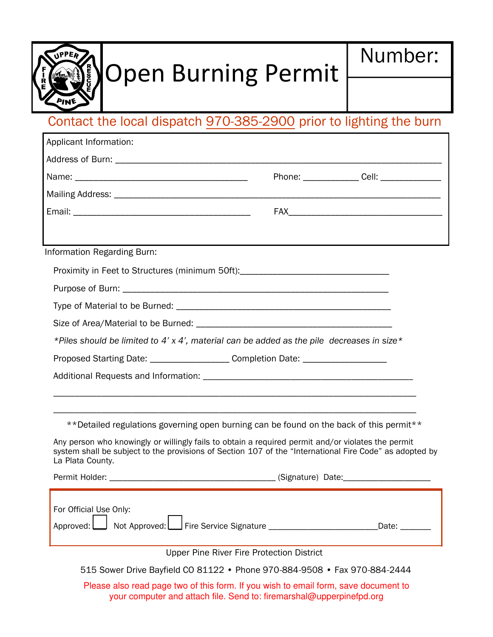

# Open Burning Permit

Number:

Contact the local dispatch 970-385-2900 prior to lighting the burn

| Applicant Information:                                                                                                                                                                                                            |                                                 |                                              |
|-----------------------------------------------------------------------------------------------------------------------------------------------------------------------------------------------------------------------------------|-------------------------------------------------|----------------------------------------------|
|                                                                                                                                                                                                                                   |                                                 |                                              |
|                                                                                                                                                                                                                                   |                                                 | Phone: _______________ Cell: _______________ |
|                                                                                                                                                                                                                                   |                                                 |                                              |
|                                                                                                                                                                                                                                   |                                                 |                                              |
|                                                                                                                                                                                                                                   |                                                 |                                              |
| Information Regarding Burn:                                                                                                                                                                                                       |                                                 |                                              |
| Proximity in Feet to Structures (minimum 50ft): ________________________________                                                                                                                                                  |                                                 |                                              |
|                                                                                                                                                                                                                                   |                                                 |                                              |
|                                                                                                                                                                                                                                   |                                                 |                                              |
|                                                                                                                                                                                                                                   |                                                 |                                              |
| *Piles should be limited to 4' x 4', material can be added as the pile decreases in size*                                                                                                                                         |                                                 |                                              |
| Proposed Starting Date: ______________________ Completion Date: _________________                                                                                                                                                 |                                                 |                                              |
|                                                                                                                                                                                                                                   |                                                 |                                              |
|                                                                                                                                                                                                                                   |                                                 |                                              |
| **Detailed regulations governing open burning can be found on the back of this permit**                                                                                                                                           |                                                 |                                              |
| Any person who knowingly or willingly fails to obtain a required permit and/or violates the permit<br>system shall be subject to the provisions of Section 107 of the "International Fire Code" as adopted by<br>La Plata County. |                                                 |                                              |
|                                                                                                                                                                                                                                   |                                                 |                                              |
|                                                                                                                                                                                                                                   |                                                 |                                              |
| For Official Use Only:                                                                                                                                                                                                            |                                                 |                                              |
| Not Approved:<br>Approved:                                                                                                                                                                                                        | Fire Service Signature ________________________ | Date: _                                      |
|                                                                                                                                                                                                                                   | Upper Pine River Fire Protection District       |                                              |
| 515 Sower Drive Bayfield CO 81122 . Phone 970-884-9508 . Fax 970-884-2444                                                                                                                                                         |                                                 |                                              |

Please also read page two of this form. If you wish to email form, save document to your computer and attach file. Send to: firemarshal@upperpinefpd.org